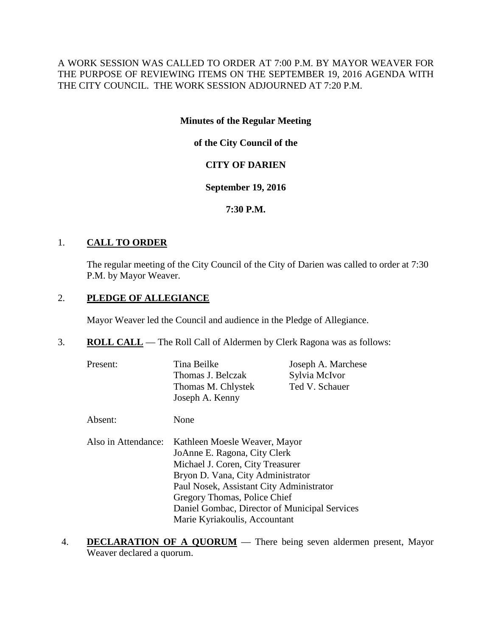A WORK SESSION WAS CALLED TO ORDER AT 7:00 P.M. BY MAYOR WEAVER FOR THE PURPOSE OF REVIEWING ITEMS ON THE SEPTEMBER 19, 2016 AGENDA WITH THE CITY COUNCIL. THE WORK SESSION ADJOURNED AT 7:20 P.M.

## **Minutes of the Regular Meeting**

**of the City Council of the**

# **CITY OF DARIEN**

## **September 19, 2016**

# **7:30 P.M.**

# 1. **CALL TO ORDER**

The regular meeting of the City Council of the City of Darien was called to order at 7:30 P.M. by Mayor Weaver.

# 2. **PLEDGE OF ALLEGIANCE**

Mayor Weaver led the Council and audience in the Pledge of Allegiance.

- 3. **ROLL CALL** The Roll Call of Aldermen by Clerk Ragona was as follows:
	- Present: Tina Beilke Joseph A. Marchese Thomas J. Belczak Sylvia McIvor Thomas M. Chlystek Ted V. Schauer Joseph A. Kenny
	- Absent: None
	- Also in Attendance: Kathleen Moesle Weaver, Mayor JoAnne E. Ragona, City Clerk Michael J. Coren, City Treasurer Bryon D. Vana, City Administrator Paul Nosek, Assistant City Administrator Gregory Thomas, Police Chief Daniel Gombac, Director of Municipal Services Marie Kyriakoulis, Accountant
- 4. **DECLARATION OF A QUORUM** There being seven aldermen present, Mayor Weaver declared a quorum.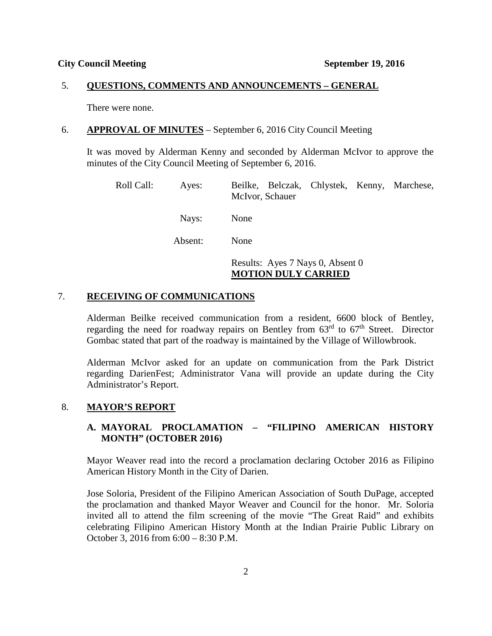#### 5. **QUESTIONS, COMMENTS AND ANNOUNCEMENTS – GENERAL**

There were none.

#### 6. **APPROVAL OF MINUTES** – September 6, 2016 City Council Meeting

It was moved by Alderman Kenny and seconded by Alderman McIvor to approve the minutes of the City Council Meeting of September 6, 2016.

Roll Call: Ayes: Beilke, Belczak, Chlystek, Kenny, Marchese, McIvor, Schauer Nays: None Absent: None Results: Ayes 7 Nays 0, Absent 0 **MOTION DULY CARRIED**

## 7. **RECEIVING OF COMMUNICATIONS**

Alderman Beilke received communication from a resident, 6600 block of Bentley, regarding the need for roadway repairs on Bentley from  $63<sup>rd</sup>$  to  $67<sup>th</sup>$  Street. Director Gombac stated that part of the roadway is maintained by the Village of Willowbrook.

Alderman McIvor asked for an update on communication from the Park District regarding DarienFest; Administrator Vana will provide an update during the City Administrator's Report.

### 8. **MAYOR'S REPORT**

## **A. MAYORAL PROCLAMATION – "FILIPINO AMERICAN HISTORY MONTH" (OCTOBER 2016)**

Mayor Weaver read into the record a proclamation declaring October 2016 as Filipino American History Month in the City of Darien.

Jose Soloria, President of the Filipino American Association of South DuPage, accepted the proclamation and thanked Mayor Weaver and Council for the honor. Mr. Soloria invited all to attend the film screening of the movie "The Great Raid" and exhibits celebrating Filipino American History Month at the Indian Prairie Public Library on October 3, 2016 from 6:00 – 8:30 P.M.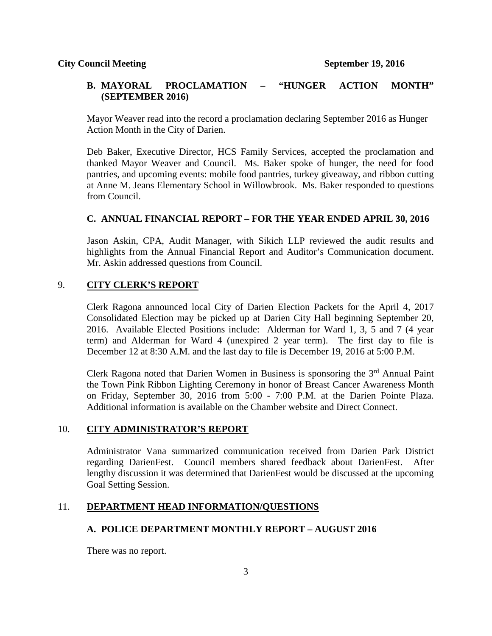## **B. MAYORAL PROCLAMATION – "HUNGER ACTION MONTH" (SEPTEMBER 2016)**

Mayor Weaver read into the record a proclamation declaring September 2016 as Hunger Action Month in the City of Darien.

Deb Baker, Executive Director, HCS Family Services, accepted the proclamation and thanked Mayor Weaver and Council. Ms. Baker spoke of hunger, the need for food pantries, and upcoming events: mobile food pantries, turkey giveaway, and ribbon cutting at Anne M. Jeans Elementary School in Willowbrook. Ms. Baker responded to questions from Council.

## **C. ANNUAL FINANCIAL REPORT – FOR THE YEAR ENDED APRIL 30, 2016**

Jason Askin, CPA, Audit Manager, with Sikich LLP reviewed the audit results and highlights from the Annual Financial Report and Auditor's Communication document. Mr. Askin addressed questions from Council.

## 9. **CITY CLERK'S REPORT**

Clerk Ragona announced local City of Darien Election Packets for the April 4, 2017 Consolidated Election may be picked up at Darien City Hall beginning September 20, 2016. Available Elected Positions include: Alderman for Ward 1, 3, 5 and 7 (4 year term) and Alderman for Ward 4 (unexpired 2 year term). The first day to file is December 12 at 8:30 A.M. and the last day to file is December 19, 2016 at 5:00 P.M.

Clerk Ragona noted that Darien Women in Business is sponsoring the  $3<sup>rd</sup>$  Annual Paint the Town Pink Ribbon Lighting Ceremony in honor of Breast Cancer Awareness Month on Friday, September 30, 2016 from 5:00 - 7:00 P.M. at the Darien Pointe Plaza. Additional information is available on the Chamber website and Direct Connect.

### 10. **CITY ADMINISTRATOR'S REPORT**

Administrator Vana summarized communication received from Darien Park District regarding DarienFest. Council members shared feedback about DarienFest. After lengthy discussion it was determined that DarienFest would be discussed at the upcoming Goal Setting Session.

### 11. **DEPARTMENT HEAD INFORMATION/QUESTIONS**

### **A. POLICE DEPARTMENT MONTHLY REPORT – AUGUST 2016**

There was no report.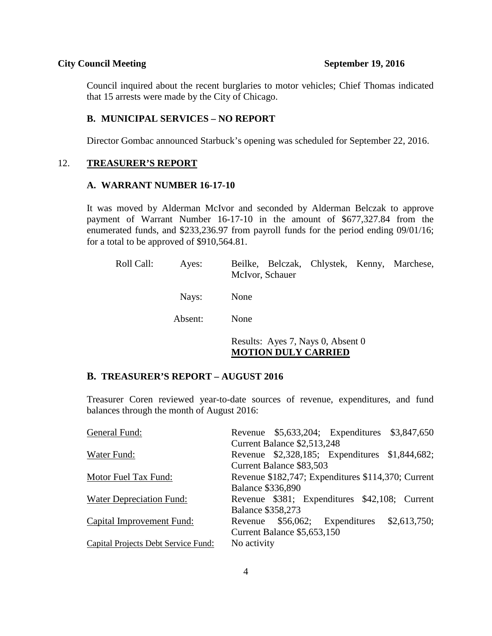## **City Council Meeting September 19, 2016**

Council inquired about the recent burglaries to motor vehicles; Chief Thomas indicated that 15 arrests were made by the City of Chicago.

## **B. MUNICIPAL SERVICES – NO REPORT**

Director Gombac announced Starbuck's opening was scheduled for September 22, 2016.

#### 12. **TREASURER'S REPORT**

## **A. WARRANT NUMBER 16-17-10**

It was moved by Alderman McIvor and seconded by Alderman Belczak to approve payment of Warrant Number 16-17-10 in the amount of \$677,327.84 from the enumerated funds, and \$233,236.97 from payroll funds for the period ending 09/01/16; for a total to be approved of \$910,564.81.

| Roll Call: | Ayes:   | Beilke, Belczak, Chlystek, Kenny, Marchese,<br>McIvor, Schauer |  |
|------------|---------|----------------------------------------------------------------|--|
|            | Nays:   | None                                                           |  |
|            | Absent: | None                                                           |  |
|            |         | Results: Ayes 7, Nays 0, Absent 0                              |  |

#### **MOTION DULY CARRIED**

## **B. TREASURER'S REPORT – AUGUST 2016**

Treasurer Coren reviewed year-to-date sources of revenue, expenditures, and fund balances through the month of August 2016:

| General Fund:                              |                                                    |                             | Revenue \$5,633,204; Expenditures \$3,847,650  |              |  |
|--------------------------------------------|----------------------------------------------------|-----------------------------|------------------------------------------------|--------------|--|
|                                            | Current Balance \$2,513,248                        |                             |                                                |              |  |
| Water Fund:                                |                                                    |                             | Revenue \$2,328,185; Expenditures \$1,844,682; |              |  |
|                                            |                                                    | Current Balance \$83,503    |                                                |              |  |
| Motor Fuel Tax Fund:                       | Revenue \$182,747; Expenditures \$114,370; Current |                             |                                                |              |  |
|                                            | <b>Balance \$336,890</b>                           |                             |                                                |              |  |
| Water Depreciation Fund:                   |                                                    |                             | Revenue \$381; Expenditures \$42,108; Current  |              |  |
|                                            | <b>Balance \$358,273</b>                           |                             |                                                |              |  |
| Capital Improvement Fund:                  |                                                    |                             | Revenue \$56,062; Expenditures                 | \$2,613,750; |  |
|                                            |                                                    | Current Balance \$5,653,150 |                                                |              |  |
| <b>Capital Projects Debt Service Fund:</b> | No activity                                        |                             |                                                |              |  |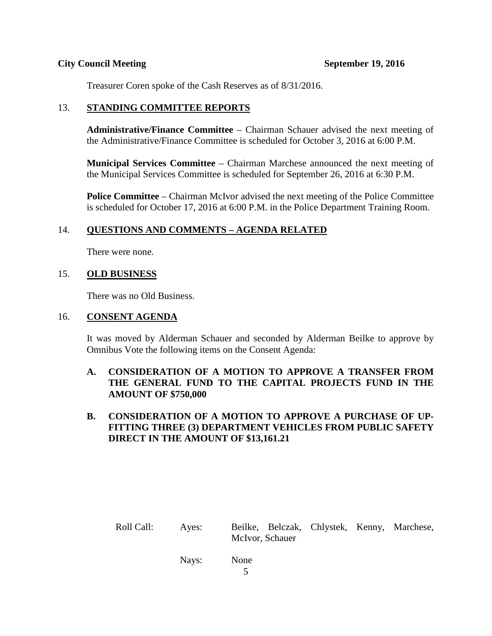## **City Council Meeting September 19, 2016**

Treasurer Coren spoke of the Cash Reserves as of 8/31/2016.

## 13. **STANDING COMMITTEE REPORTS**

**Administrative/Finance Committee** – Chairman Schauer advised the next meeting of the Administrative/Finance Committee is scheduled for October 3, 2016 at 6:00 P.M.

**Municipal Services Committee** – Chairman Marchese announced the next meeting of the Municipal Services Committee is scheduled for September 26, 2016 at 6:30 P.M.

**Police Committee** – Chairman McIvor advised the next meeting of the Police Committee is scheduled for October 17, 2016 at 6:00 P.M. in the Police Department Training Room.

## 14. **QUESTIONS AND COMMENTS – AGENDA RELATED**

There were none.

## 15. **OLD BUSINESS**

There was no Old Business.

## 16. **CONSENT AGENDA**

It was moved by Alderman Schauer and seconded by Alderman Beilke to approve by Omnibus Vote the following items on the Consent Agenda:

# **A. CONSIDERATION OF A MOTION TO APPROVE A TRANSFER FROM THE GENERAL FUND TO THE CAPITAL PROJECTS FUND IN THE AMOUNT OF \$750,000**

# **B. CONSIDERATION OF A MOTION TO APPROVE A PURCHASE OF UP-FITTING THREE (3) DEPARTMENT VEHICLES FROM PUBLIC SAFETY DIRECT IN THE AMOUNT OF \$13,161.21**

Roll Call: Ayes: Beilke, Belczak, Chlystek, Kenny, Marchese, McIvor, Schauer

Nays: None